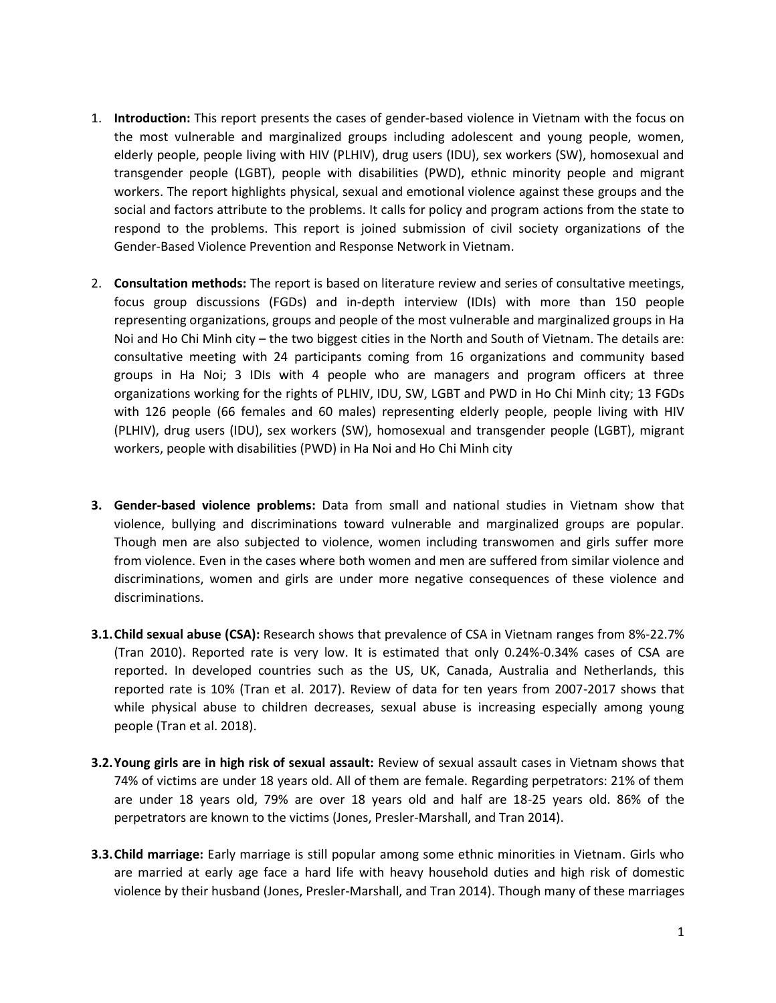- 1. **Introduction:** This report presents the cases of gender-based violence in Vietnam with the focus on the most vulnerable and marginalized groups including adolescent and young people, women, elderly people, people living with HIV (PLHIV), drug users (IDU), sex workers (SW), homosexual and transgender people (LGBT), people with disabilities (PWD), ethnic minority people and migrant workers. The report highlights physical, sexual and emotional violence against these groups and the social and factors attribute to the problems. It calls for policy and program actions from the state to respond to the problems. This report is joined submission of civil society organizations of the Gender-Based Violence Prevention and Response Network in Vietnam.
- 2. **Consultation methods:** The report is based on literature review and series of consultative meetings, focus group discussions (FGDs) and in-depth interview (IDIs) with more than 150 people representing organizations, groups and people of the most vulnerable and marginalized groups in Ha Noi and Ho Chi Minh city – the two biggest cities in the North and South of Vietnam. The details are: consultative meeting with 24 participants coming from 16 organizations and community based groups in Ha Noi; 3 IDIs with 4 people who are managers and program officers at three organizations working for the rights of PLHIV, IDU, SW, LGBT and PWD in Ho Chi Minh city; 13 FGDs with 126 people (66 females and 60 males) representing elderly people, people living with HIV (PLHIV), drug users (IDU), sex workers (SW), homosexual and transgender people (LGBT), migrant workers, people with disabilities (PWD) in Ha Noi and Ho Chi Minh city
- **3. Gender-based violence problems:** Data from small and national studies in Vietnam show that violence, bullying and discriminations toward vulnerable and marginalized groups are popular. Though men are also subjected to violence, women including transwomen and girls suffer more from violence. Even in the cases where both women and men are suffered from similar violence and discriminations, women and girls are under more negative consequences of these violence and discriminations.
- **3.1.Child sexual abuse (CSA):** Research shows that prevalence of CSA in Vietnam ranges from 8%-22.7% (Tran 2010). Reported rate is very low. It is estimated that only 0.24%-0.34% cases of CSA are reported. In developed countries such as the US, UK, Canada, Australia and Netherlands, this reported rate is 10% (Tran et al. 2017). Review of data for ten years from 2007-2017 shows that while physical abuse to children decreases, sexual abuse is increasing especially among young people (Tran et al. 2018).
- **3.2.Young girls are in high risk of sexual assault:** Review of sexual assault cases in Vietnam shows that 74% of victims are under 18 years old. All of them are female. Regarding perpetrators: 21% of them are under 18 years old, 79% are over 18 years old and half are 18-25 years old. 86% of the perpetrators are known to the victims (Jones, Presler-Marshall, and Tran 2014).
- **3.3.Child marriage:** Early marriage is still popular among some ethnic minorities in Vietnam. Girls who are married at early age face a hard life with heavy household duties and high risk of domestic violence by their husband (Jones, Presler-Marshall, and Tran 2014). Though many of these marriages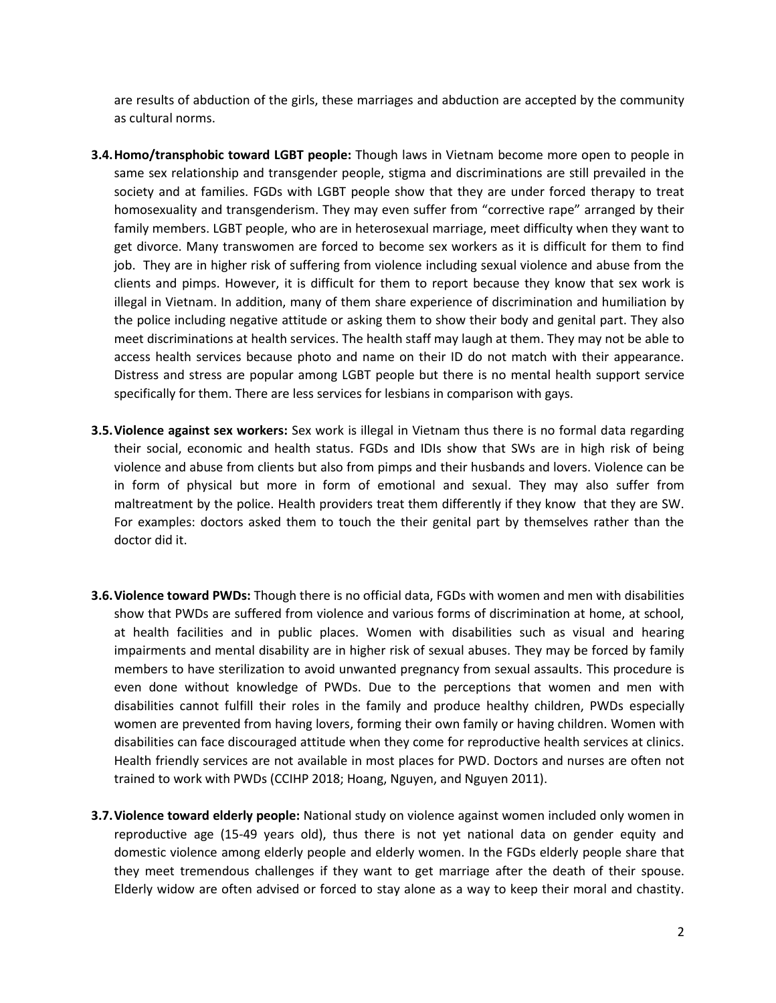are results of abduction of the girls, these marriages and abduction are accepted by the community as cultural norms.

- **3.4.Homo/transphobic toward LGBT people:** Though laws in Vietnam become more open to people in same sex relationship and transgender people, stigma and discriminations are still prevailed in the society and at families. FGDs with LGBT people show that they are under forced therapy to treat homosexuality and transgenderism. They may even suffer from "corrective rape" arranged by their family members. LGBT people, who are in heterosexual marriage, meet difficulty when they want to get divorce. Many transwomen are forced to become sex workers as it is difficult for them to find job. They are in higher risk of suffering from violence including sexual violence and abuse from the clients and pimps. However, it is difficult for them to report because they know that sex work is illegal in Vietnam. In addition, many of them share experience of discrimination and humiliation by the police including negative attitude or asking them to show their body and genital part. They also meet discriminations at health services. The health staff may laugh at them. They may not be able to access health services because photo and name on their ID do not match with their appearance. Distress and stress are popular among LGBT people but there is no mental health support service specifically for them. There are less services for lesbians in comparison with gays.
- **3.5.Violence against sex workers:** Sex work is illegal in Vietnam thus there is no formal data regarding their social, economic and health status. FGDs and IDIs show that SWs are in high risk of being violence and abuse from clients but also from pimps and their husbands and lovers. Violence can be in form of physical but more in form of emotional and sexual. They may also suffer from maltreatment by the police. Health providers treat them differently if they know that they are SW. For examples: doctors asked them to touch the their genital part by themselves rather than the doctor did it.
- **3.6.Violence toward PWDs:** Though there is no official data, FGDs with women and men with disabilities show that PWDs are suffered from violence and various forms of discrimination at home, at school, at health facilities and in public places. Women with disabilities such as visual and hearing impairments and mental disability are in higher risk of sexual abuses. They may be forced by family members to have sterilization to avoid unwanted pregnancy from sexual assaults. This procedure is even done without knowledge of PWDs. Due to the perceptions that women and men with disabilities cannot fulfill their roles in the family and produce healthy children, PWDs especially women are prevented from having lovers, forming their own family or having children. Women with disabilities can face discouraged attitude when they come for reproductive health services at clinics. Health friendly services are not available in most places for PWD. Doctors and nurses are often not trained to work with PWDs (CCIHP 2018; Hoang, Nguyen, and Nguyen 2011).
- **3.7.Violence toward elderly people:** National study on violence against women included only women in reproductive age (15-49 years old), thus there is not yet national data on gender equity and domestic violence among elderly people and elderly women. In the FGDs elderly people share that they meet tremendous challenges if they want to get marriage after the death of their spouse. Elderly widow are often advised or forced to stay alone as a way to keep their moral and chastity.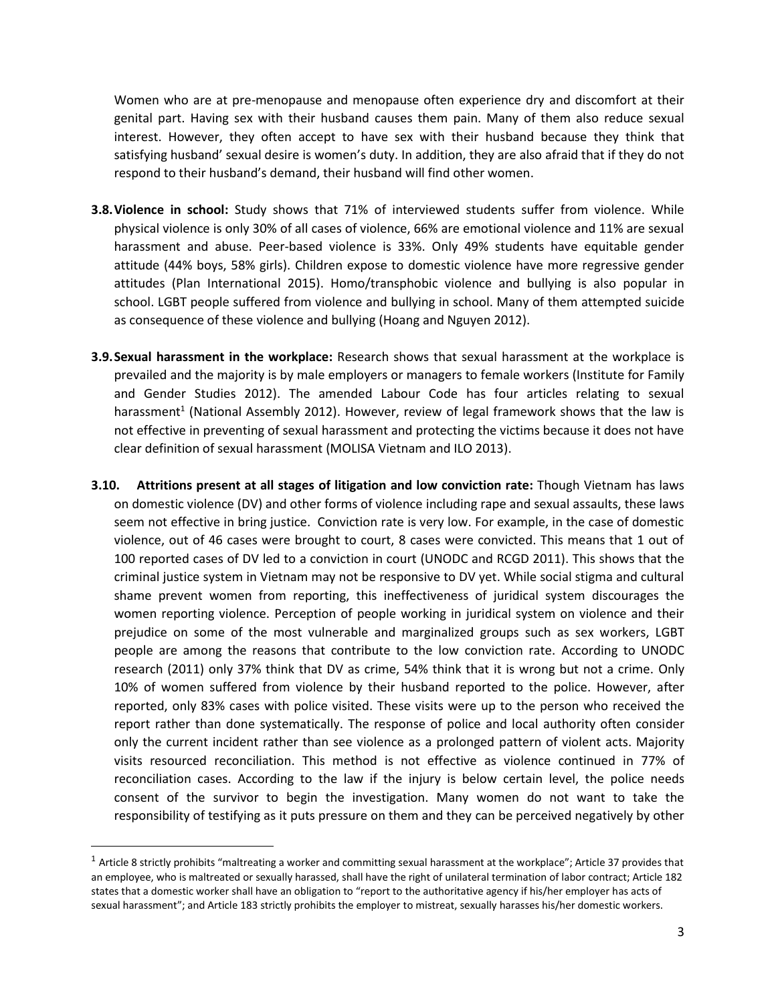Women who are at pre-menopause and menopause often experience dry and discomfort at their genital part. Having sex with their husband causes them pain. Many of them also reduce sexual interest. However, they often accept to have sex with their husband because they think that satisfying husband' sexual desire is women's duty. In addition, they are also afraid that if they do not respond to their husband's demand, their husband will find other women.

- **3.8.Violence in school:** Study shows that 71% of interviewed students suffer from violence. While physical violence is only 30% of all cases of violence, 66% are emotional violence and 11% are sexual harassment and abuse. Peer-based violence is 33%. Only 49% students have equitable gender attitude (44% boys, 58% girls). Children expose to domestic violence have more regressive gender attitudes (Plan International 2015). Homo/transphobic violence and bullying is also popular in school. LGBT people suffered from violence and bullying in school. Many of them attempted suicide as consequence of these violence and bullying (Hoang and Nguyen 2012).
- **3.9.Sexual harassment in the workplace:** Research shows that sexual harassment at the workplace is prevailed and the majority is by male employers or managers to female workers (Institute for Family and Gender Studies 2012). The amended Labour Code has four articles relating to sexual harassment<sup>1</sup> (National Assembly 2012). However, review of legal framework shows that the law is not effective in preventing of sexual harassment and protecting the victims because it does not have clear definition of sexual harassment (MOLISA Vietnam and ILO 2013).
- **3.10. Attritions present at all stages of litigation and low conviction rate:** Though Vietnam has laws on domestic violence (DV) and other forms of violence including rape and sexual assaults, these laws seem not effective in bring justice. Conviction rate is very low. For example, in the case of domestic violence, out of 46 cases were brought to court, 8 cases were convicted. This means that 1 out of 100 reported cases of DV led to a conviction in court (UNODC and RCGD 2011). This shows that the criminal justice system in Vietnam may not be responsive to DV yet. While social stigma and cultural shame prevent women from reporting, this ineffectiveness of juridical system discourages the women reporting violence. Perception of people working in juridical system on violence and their prejudice on some of the most vulnerable and marginalized groups such as sex workers, LGBT people are among the reasons that contribute to the low conviction rate. According to UNODC research (2011) only 37% think that DV as crime, 54% think that it is wrong but not a crime. Only 10% of women suffered from violence by their husband reported to the police. However, after reported, only 83% cases with police visited. These visits were up to the person who received the report rather than done systematically. The response of police and local authority often consider only the current incident rather than see violence as a prolonged pattern of violent acts. Majority visits resourced reconciliation. This method is not effective as violence continued in 77% of reconciliation cases. According to the law if the injury is below certain level, the police needs consent of the survivor to begin the investigation. Many women do not want to take the responsibility of testifying as it puts pressure on them and they can be perceived negatively by other

 $\overline{\phantom{a}}$ 

<sup>&</sup>lt;sup>1</sup> Article 8 strictly prohibits "maltreating a worker and committing sexual harassment at the workplace"; Article 37 provides that an employee, who is maltreated or sexually harassed, shall have the right of unilateral termination of labor contract; Article 182 states that a domestic worker shall have an obligation to "report to the authoritative agency if his/her employer has acts of sexual harassment"; and Article 183 strictly prohibits the employer to mistreat, sexually harasses his/her domestic workers.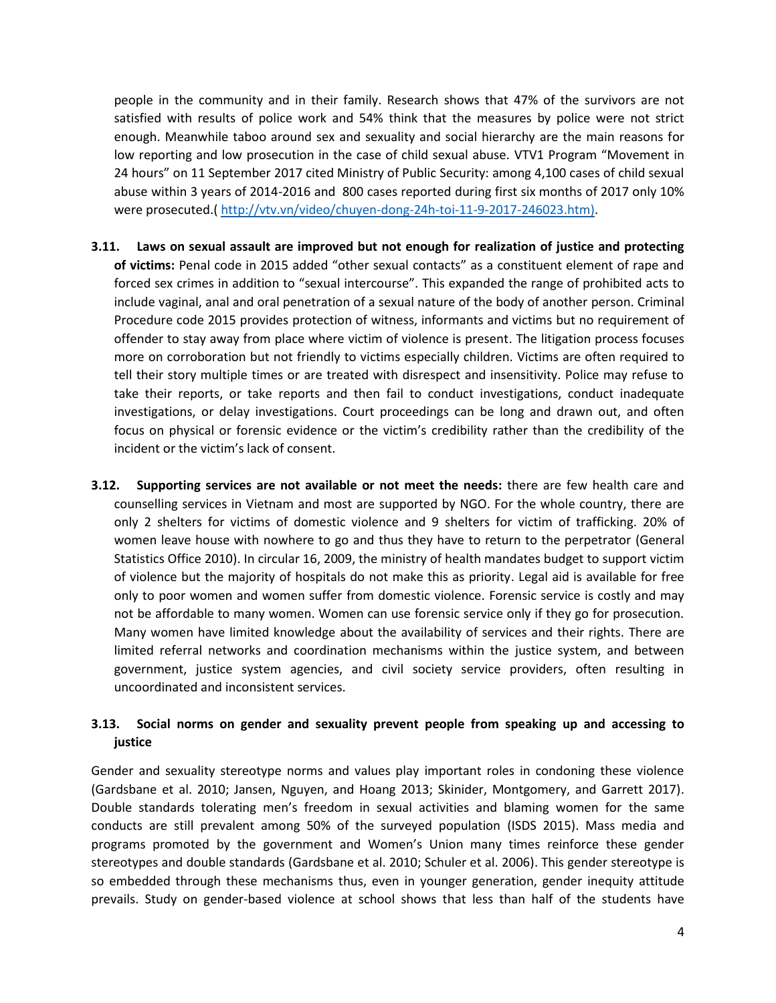people in the community and in their family. Research shows that 47% of the survivors are not satisfied with results of police work and 54% think that the measures by police were not strict enough. Meanwhile taboo around sex and sexuality and social hierarchy are the main reasons for low reporting and low prosecution in the case of child sexual abuse. VTV1 Program "Movement in 24 hours" on 11 September 2017 cited Ministry of Public Security: among 4,100 cases of child sexual abuse within 3 years of 2014-2016 and 800 cases reported during first six months of 2017 only 10% were prosecuted.( [http://vtv.vn/video/chuyen-dong-24h-toi-11-9-2017-246023.htm\).](http://vtv.vn/video/chuyen-dong-24h-toi-11-9-2017-246023.htm))

- **3.11. Laws on sexual assault are improved but not enough for realization of justice and protecting of victims:** Penal code in 2015 added "other sexual contacts" as a constituent element of rape and forced sex crimes in addition to "sexual intercourse". This expanded the range of prohibited acts to include vaginal, anal and oral penetration of a sexual nature of the body of another person. Criminal Procedure code 2015 provides protection of witness, informants and victims but no requirement of offender to stay away from place where victim of violence is present. The litigation process focuses more on corroboration but not friendly to victims especially children. Victims are often required to tell their story multiple times or are treated with disrespect and insensitivity. Police may refuse to take their reports, or take reports and then fail to conduct investigations, conduct inadequate investigations, or delay investigations. Court proceedings can be long and drawn out, and often focus on physical or forensic evidence or the victim's credibility rather than the credibility of the incident or the victim's lack of consent.
- **3.12. Supporting services are not available or not meet the needs:** there are few health care and counselling services in Vietnam and most are supported by NGO. For the whole country, there are only 2 shelters for victims of domestic violence and 9 shelters for victim of trafficking. 20% of women leave house with nowhere to go and thus they have to return to the perpetrator (General Statistics Office 2010). In circular 16, 2009, the ministry of health mandates budget to support victim of violence but the majority of hospitals do not make this as priority. Legal aid is available for free only to poor women and women suffer from domestic violence. Forensic service is costly and may not be affordable to many women. Women can use forensic service only if they go for prosecution. Many women have limited knowledge about the availability of services and their rights. There are limited referral networks and coordination mechanisms within the justice system, and between government, justice system agencies, and civil society service providers, often resulting in uncoordinated and inconsistent services.

## **3.13. Social norms on gender and sexuality prevent people from speaking up and accessing to justice**

Gender and sexuality stereotype norms and values play important roles in condoning these violence (Gardsbane et al. 2010; Jansen, Nguyen, and Hoang 2013; Skinider, Montgomery, and Garrett 2017). Double standards tolerating men's freedom in sexual activities and blaming women for the same conducts are still prevalent among 50% of the surveyed population (ISDS 2015). Mass media and programs promoted by the government and Women's Union many times reinforce these gender stereotypes and double standards (Gardsbane et al. 2010; Schuler et al. 2006). This gender stereotype is so embedded through these mechanisms thus, even in younger generation, gender inequity attitude prevails. Study on gender-based violence at school shows that less than half of the students have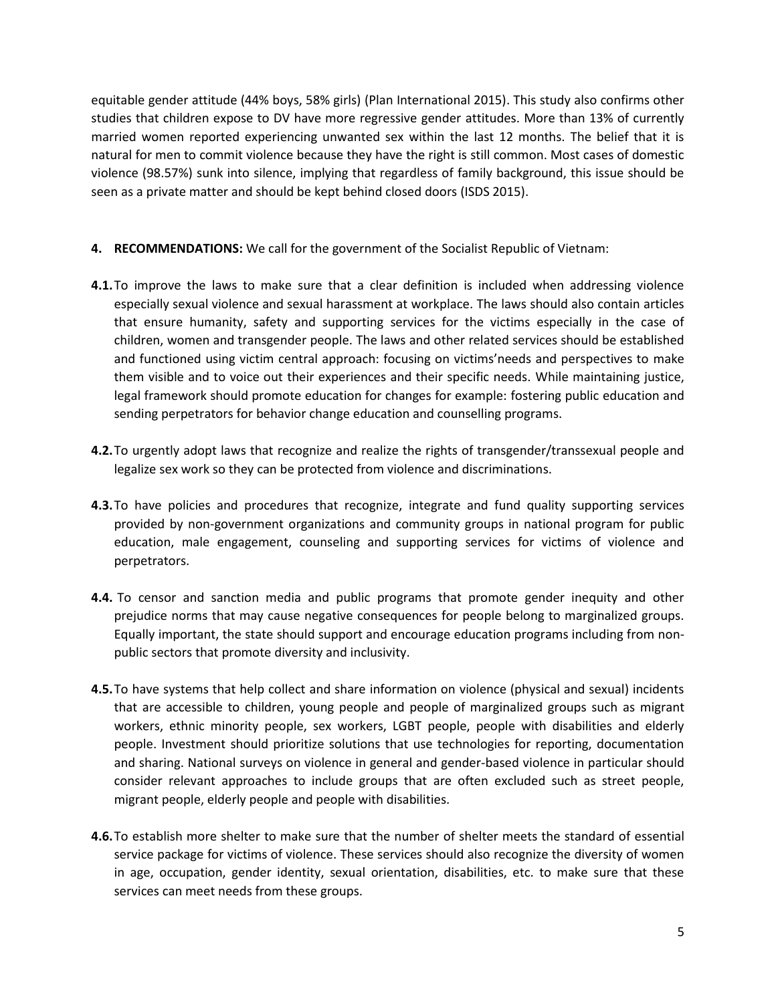equitable gender attitude (44% boys, 58% girls) (Plan International 2015). This study also confirms other studies that children expose to DV have more regressive gender attitudes. More than 13% of currently married women reported experiencing unwanted sex within the last 12 months. The belief that it is natural for men to commit violence because they have the right is still common. Most cases of domestic violence (98.57%) sunk into silence, implying that regardless of family background, this issue should be seen as a private matter and should be kept behind closed doors (ISDS 2015).

- **4. RECOMMENDATIONS:** We call for the government of the Socialist Republic of Vietnam:
- **4.1.**To improve the laws to make sure that a clear definition is included when addressing violence especially sexual violence and sexual harassment at workplace. The laws should also contain articles that ensure humanity, safety and supporting services for the victims especially in the case of children, women and transgender people. The laws and other related services should be established and functioned using victim central approach: focusing on victims'needs and perspectives to make them visible and to voice out their experiences and their specific needs. While maintaining justice, legal framework should promote education for changes for example: fostering public education and sending perpetrators for behavior change education and counselling programs.
- **4.2.**To urgently adopt laws that recognize and realize the rights of transgender/transsexual people and legalize sex work so they can be protected from violence and discriminations.
- **4.3.**To have policies and procedures that recognize, integrate and fund quality supporting services provided by non-government organizations and community groups in national program for public education, male engagement, counseling and supporting services for victims of violence and perpetrators.
- **4.4.** To censor and sanction media and public programs that promote gender inequity and other prejudice norms that may cause negative consequences for people belong to marginalized groups. Equally important, the state should support and encourage education programs including from nonpublic sectors that promote diversity and inclusivity.
- **4.5.**To have systems that help collect and share information on violence (physical and sexual) incidents that are accessible to children, young people and people of marginalized groups such as migrant workers, ethnic minority people, sex workers, LGBT people, people with disabilities and elderly people. Investment should prioritize solutions that use technologies for reporting, documentation and sharing. National surveys on violence in general and gender-based violence in particular should consider relevant approaches to include groups that are often excluded such as street people, migrant people, elderly people and people with disabilities.
- **4.6.**To establish more shelter to make sure that the number of shelter meets the standard of essential service package for victims of violence. These services should also recognize the diversity of women in age, occupation, gender identity, sexual orientation, disabilities, etc. to make sure that these services can meet needs from these groups.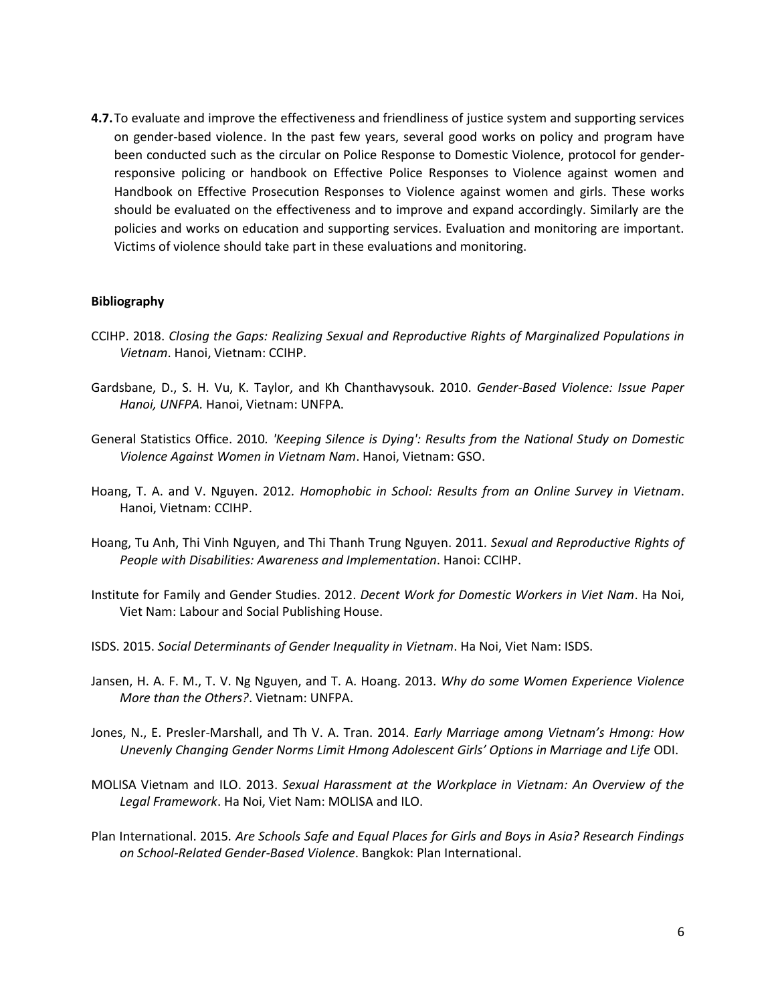**4.7.**To evaluate and improve the effectiveness and friendliness of justice system and supporting services on gender-based violence. In the past few years, several good works on policy and program have been conducted such as the circular on Police Response to Domestic Violence, protocol for genderresponsive policing or handbook on Effective Police Responses to Violence against women and Handbook on Effective Prosecution Responses to Violence against women and girls. These works should be evaluated on the effectiveness and to improve and expand accordingly. Similarly are the policies and works on education and supporting services. Evaluation and monitoring are important. Victims of violence should take part in these evaluations and monitoring.

## **Bibliography**

- CCIHP. 2018. *Closing the Gaps: Realizing Sexual and Reproductive Rights of Marginalized Populations in Vietnam*. Hanoi, Vietnam: CCIHP.
- Gardsbane, D., S. H. Vu, K. Taylor, and Kh Chanthavysouk. 2010. *Gender-Based Violence: Issue Paper Hanoi, UNFPA.* Hanoi, Vietnam: UNFPA.
- General Statistics Office. 2010*. 'Keeping Silence is Dying': Results from the National Study on Domestic Violence Against Women in Vietnam Nam*. Hanoi, Vietnam: GSO.
- Hoang, T. A. and V. Nguyen. 2012*. Homophobic in School: Results from an Online Survey in Vietnam*. Hanoi, Vietnam: CCIHP.
- Hoang, Tu Anh, Thi Vinh Nguyen, and Thi Thanh Trung Nguyen. 2011*. Sexual and Reproductive Rights of People with Disabilities: Awareness and Implementation*. Hanoi: CCIHP.
- Institute for Family and Gender Studies. 2012. *Decent Work for Domestic Workers in Viet Nam*. Ha Noi, Viet Nam: Labour and Social Publishing House.
- ISDS. 2015. *Social Determinants of Gender Inequality in Vietnam*. Ha Noi, Viet Nam: ISDS.
- Jansen, H. A. F. M., T. V. Ng Nguyen, and T. A. Hoang. 2013*. Why do some Women Experience Violence More than the Others?*. Vietnam: UNFPA.
- Jones, N., E. Presler-Marshall, and Th V. A. Tran. 2014. *Early Marriage among Vietnam's Hmong: How Unevenly Changing Gender Norms Limit Hmong Adolescent Girls' Options in Marriage and Life* ODI.
- MOLISA Vietnam and ILO. 2013. *Sexual Harassment at the Workplace in Vietnam: An Overview of the Legal Framework*. Ha Noi, Viet Nam: MOLISA and ILO.
- Plan International. 2015*. Are Schools Safe and Equal Places for Girls and Boys in Asia? Research Findings on School-Related Gender-Based Violence*. Bangkok: Plan International.